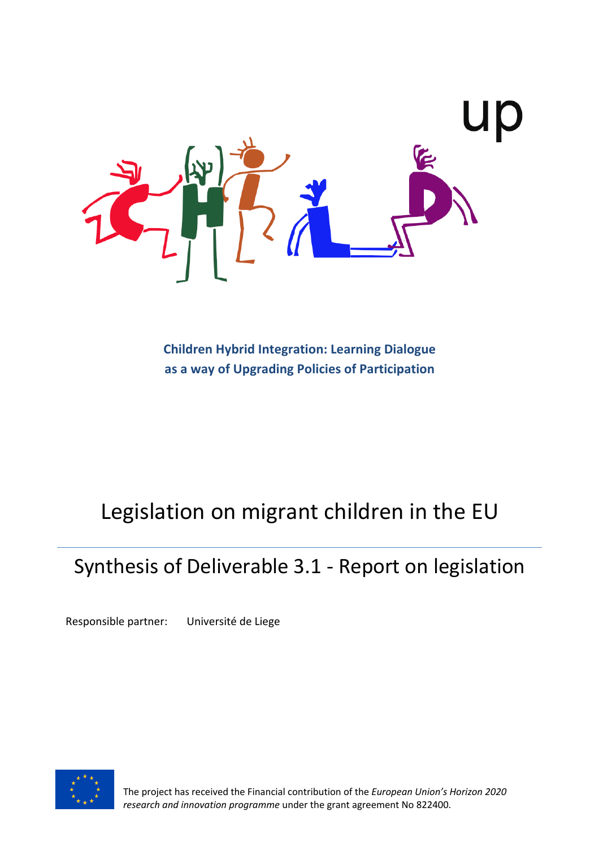

**Children Hybrid Integration: Learning Dialogue as a way of Upgrading Policies of Participation**

# Legislation on migrant children in the EU

## Synthesis of Deliverable 3.1 - Report on legislation

Responsible partner: Université de Liege



The project has received the Financial contribution of the *European Union's Horizon 2020 research and innovation programme* under the grant agreement No 822400.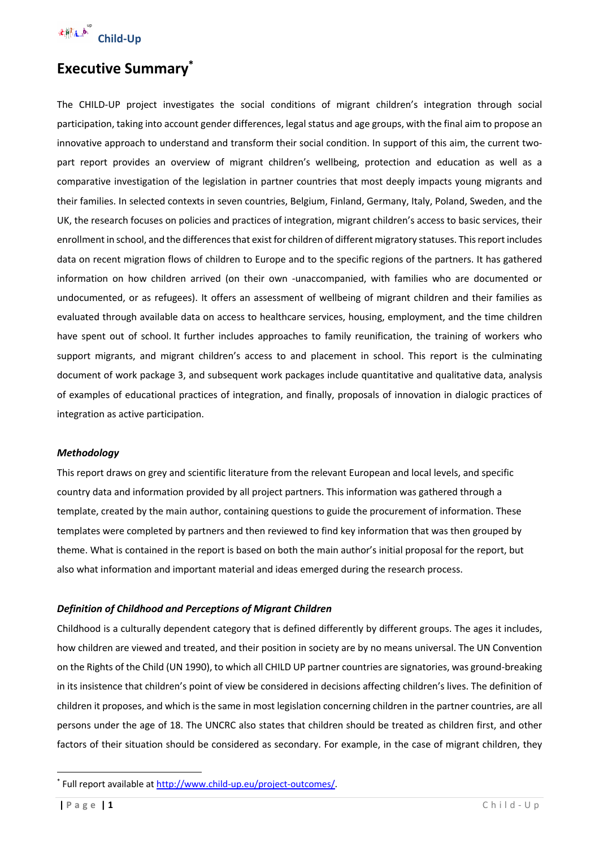

### **Executive Summary\***

The CHILD-UP project investigates the social conditions of migrant children's integration through social participation, taking into account gender differences, legal status and age groups, with the final aim to propose an innovative approach to understand and transform their social condition. In support of this aim, the current twopart report provides an overview of migrant children's wellbeing, protection and education as well as a comparative investigation of the legislation in partner countries that most deeply impacts young migrants and their families. In selected contexts in seven countries, Belgium, Finland, Germany, Italy, Poland, Sweden, and the UK, the research focuses on policies and practices of integration, migrant children's access to basic services, their enrollment in school, and the differences that exist for children of different migratory statuses. This reportincludes data on recent migration flows of children to Europe and to the specific regions of the partners. It has gathered information on how children arrived (on their own -unaccompanied, with families who are documented or undocumented, or as refugees). It offers an assessment of wellbeing of migrant children and their families as evaluated through available data on access to healthcare services, housing, employment, and the time children have spent out of school. It further includes approaches to family reunification, the training of workers who support migrants, and migrant children's access to and placement in school. This report is the culminating document of work package 3, and subsequent work packages include quantitative and qualitative data, analysis of examples of educational practices of integration, and finally, proposals of innovation in dialogic practices of integration as active participation.

#### *Methodology*

This report draws on grey and scientific literature from the relevant European and local levels, and specific country data and information provided by all project partners. This information was gathered through a template, created by the main author, containing questions to guide the procurement of information. These templates were completed by partners and then reviewed to find key information that was then grouped by theme. What is contained in the report is based on both the main author's initial proposal for the report, but also what information and important material and ideas emerged during the research process.

#### *Definition of Childhood and Perceptions of Migrant Children*

Childhood is a culturally dependent category that is defined differently by different groups. The ages it includes, how children are viewed and treated, and their position in society are by no means universal. The UN Convention on the Rights of the Child (UN 1990), to which all CHILD UP partner countries are signatories, was ground-breaking in its insistence that children's point of view be considered in decisions affecting children's lives. The definition of children it proposes, and which is the same in most legislation concerning children in the partner countries, are all persons under the age of 18. The UNCRC also states that children should be treated as children first, and other factors of their situation should be considered as secondary. For example, in the case of migrant children, they

<sup>\*</sup> Full report available at http://www.child-up.eu/project-outcomes/.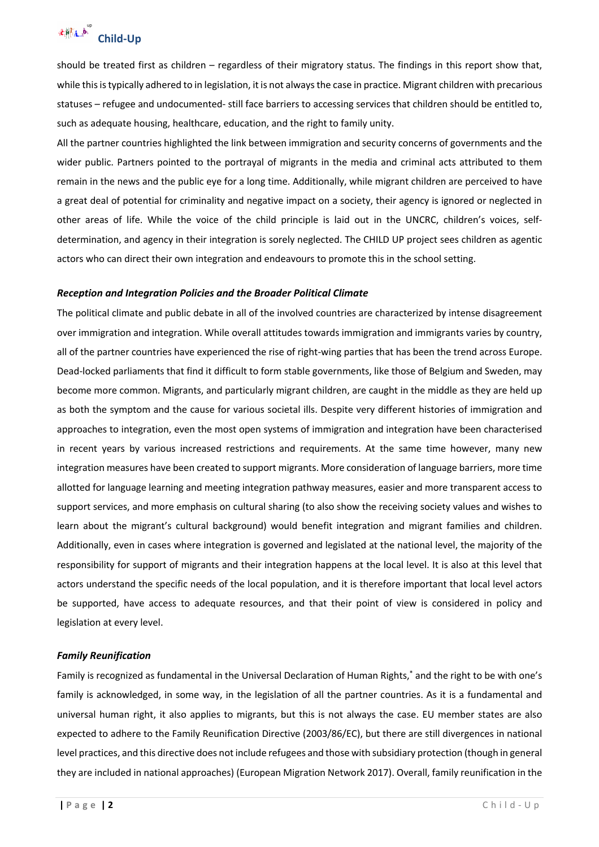

should be treated first as children – regardless of their migratory status. The findings in this report show that, while this is typically adhered to in legislation, it is not always the case in practice. Migrant children with precarious statuses – refugee and undocumented- still face barriers to accessing services that children should be entitled to, such as adequate housing, healthcare, education, and the right to family unity.

All the partner countries highlighted the link between immigration and security concerns of governments and the wider public. Partners pointed to the portrayal of migrants in the media and criminal acts attributed to them remain in the news and the public eye for a long time. Additionally, while migrant children are perceived to have a great deal of potential for criminality and negative impact on a society, their agency is ignored or neglected in other areas of life. While the voice of the child principle is laid out in the UNCRC, children's voices, selfdetermination, and agency in their integration is sorely neglected. The CHILD UP project sees children as agentic actors who can direct their own integration and endeavours to promote this in the school setting.

#### *Reception and Integration Policies and the Broader Political Climate*

The political climate and public debate in all of the involved countries are characterized by intense disagreement over immigration and integration. While overall attitudes towards immigration and immigrants varies by country, all of the partner countries have experienced the rise of right-wing parties that has been the trend across Europe. Dead-locked parliaments that find it difficult to form stable governments, like those of Belgium and Sweden, may become more common. Migrants, and particularly migrant children, are caught in the middle as they are held up as both the symptom and the cause for various societal ills. Despite very different histories of immigration and approaches to integration, even the most open systems of immigration and integration have been characterised in recent years by various increased restrictions and requirements. At the same time however, many new integration measures have been created to support migrants. More consideration of language barriers, more time allotted for language learning and meeting integration pathway measures, easier and more transparent access to support services, and more emphasis on cultural sharing (to also show the receiving society values and wishes to learn about the migrant's cultural background) would benefit integration and migrant families and children. Additionally, even in cases where integration is governed and legislated at the national level, the majority of the responsibility for support of migrants and their integration happens at the local level. It is also at this level that actors understand the specific needs of the local population, and it is therefore important that local level actors be supported, have access to adequate resources, and that their point of view is considered in policy and legislation at every level.

#### *Family Reunification*

Family is recognized as fundamental in the Universal Declaration of Human Rights,\* and the right to be with one's family is acknowledged, in some way, in the legislation of all the partner countries. As it is a fundamental and universal human right, it also applies to migrants, but this is not always the case. EU member states are also expected to adhere to the Family Reunification Directive (2003/86/EC), but there are still divergences in national level practices, and this directive does not include refugees and those with subsidiary protection (though in general they are included in national approaches) (European Migration Network 2017). Overall, family reunification in the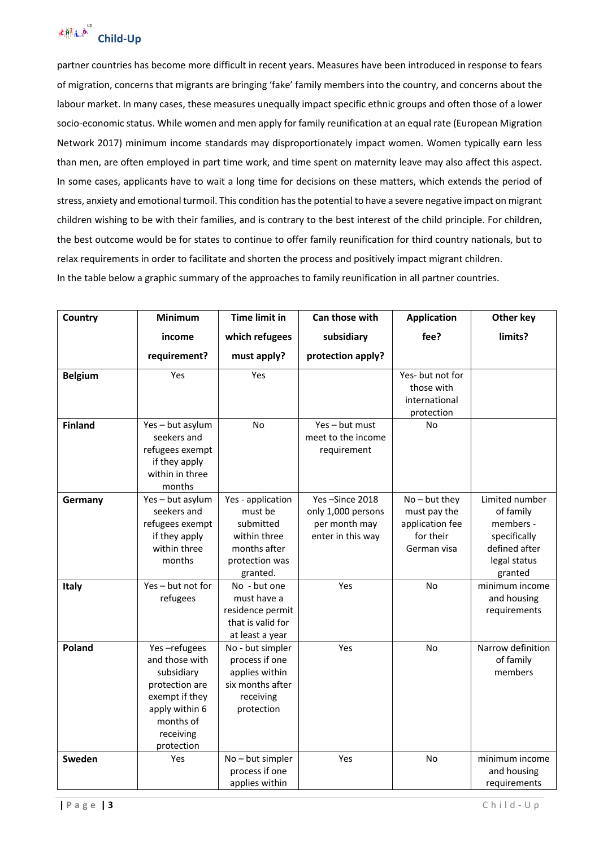

partner countries has become more difficult in recent years. Measures have been introduced in response to fears of migration, concerns that migrants are bringing 'fake' family members into the country, and concerns about the labour market. In many cases, these measures unequally impact specific ethnic groups and often those of a lower socio-economic status. While women and men apply for family reunification at an equal rate (European Migration Network 2017) minimum income standards may disproportionately impact women. Women typically earn less than men, are often employed in part time work, and time spent on maternity leave may also affect this aspect. In some cases, applicants have to wait a long time for decisions on these matters, which extends the period of stress, anxiety and emotional turmoil. This condition has the potential to have a severe negative impact on migrant children wishing to be with their families, and is contrary to the best interest of the child principle. For children, the best outcome would be for states to continue to offer family reunification for third country nationals, but to relax requirements in order to facilitate and shorten the process and positively impact migrant children. In the table below a graphic summary of the approaches to family reunification in all partner countries.

| Country        | <b>Minimum</b>                                                                                                                             | <b>Time limit in</b>                                                                                    | Can those with                                                             | <b>Application</b>                                                             | Other key                                                                                            |
|----------------|--------------------------------------------------------------------------------------------------------------------------------------------|---------------------------------------------------------------------------------------------------------|----------------------------------------------------------------------------|--------------------------------------------------------------------------------|------------------------------------------------------------------------------------------------------|
|                | income                                                                                                                                     | which refugees                                                                                          | subsidiary                                                                 | fee?                                                                           | limits?                                                                                              |
|                | requirement?                                                                                                                               | must apply?                                                                                             | protection apply?                                                          |                                                                                |                                                                                                      |
| <b>Belgium</b> | Yes                                                                                                                                        | Yes                                                                                                     |                                                                            | Yes- but not for<br>those with<br>international<br>protection                  |                                                                                                      |
| <b>Finland</b> | Yes-but asylum<br>seekers and<br>refugees exempt<br>if they apply<br>within in three<br>months                                             | <b>No</b>                                                                                               | Yes - but must<br>meet to the income<br>requirement                        | No                                                                             |                                                                                                      |
| Germany        | Yes-but asylum<br>seekers and<br>refugees exempt<br>if they apply<br>within three<br>months                                                | Yes - application<br>must be<br>submitted<br>within three<br>months after<br>protection was<br>granted. | Yes-Since 2018<br>only 1,000 persons<br>per month may<br>enter in this way | $No - but they$<br>must pay the<br>application fee<br>for their<br>German visa | Limited number<br>of family<br>members -<br>specifically<br>defined after<br>legal status<br>granted |
| Italy          | Yes - but not for<br>refugees                                                                                                              | No - but one<br>must have a<br>residence permit<br>that is valid for<br>at least a year                 | Yes                                                                        | <b>No</b>                                                                      | minimum income<br>and housing<br>requirements                                                        |
| Poland         | Yes-refugees<br>and those with<br>subsidiary<br>protection are<br>exempt if they<br>apply within 6<br>months of<br>receiving<br>protection | No - but simpler<br>process if one<br>applies within<br>six months after<br>receiving<br>protection     | Yes                                                                        | No                                                                             | Narrow definition<br>of family<br>members                                                            |
| Sweden         | Yes                                                                                                                                        | No-but simpler<br>process if one<br>applies within                                                      | Yes                                                                        | No                                                                             | minimum income<br>and housing<br>requirements                                                        |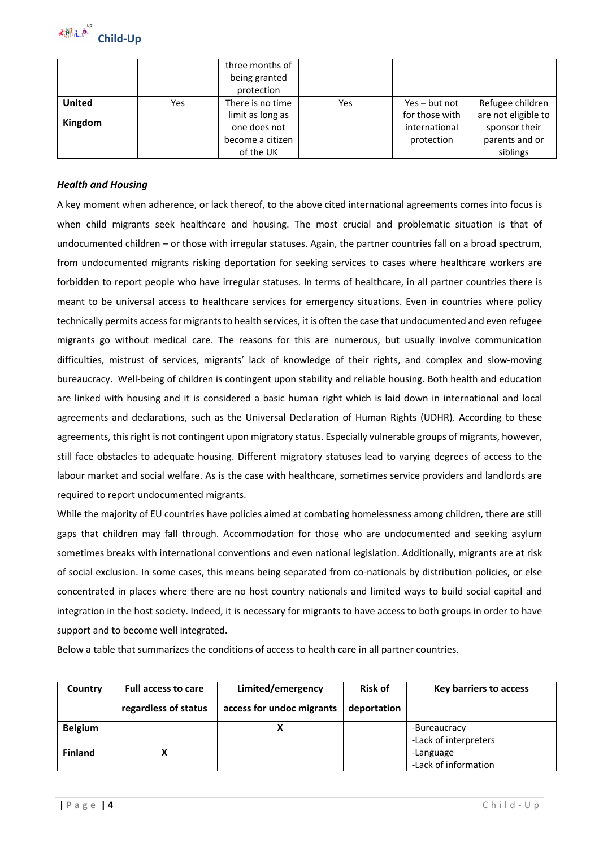

|                          |     | three months of<br>being granted<br>protection                                        |     |                                                                  |                                                                                        |
|--------------------------|-----|---------------------------------------------------------------------------------------|-----|------------------------------------------------------------------|----------------------------------------------------------------------------------------|
| <b>United</b><br>Kingdom | Yes | There is no time<br>limit as long as<br>one does not<br>become a citizen<br>of the UK | Yes | $Yes - but not$<br>for those with<br>international<br>protection | Refugee children<br>are not eligible to<br>sponsor their<br>parents and or<br>siblings |

#### *Health and Housing*

A key moment when adherence, or lack thereof, to the above cited international agreements comes into focus is when child migrants seek healthcare and housing. The most crucial and problematic situation is that of undocumented children – or those with irregular statuses. Again, the partner countries fall on a broad spectrum, from undocumented migrants risking deportation for seeking services to cases where healthcare workers are forbidden to report people who have irregular statuses. In terms of healthcare, in all partner countries there is meant to be universal access to healthcare services for emergency situations. Even in countries where policy technically permits access for migrants to health services, it is often the case that undocumented and even refugee migrants go without medical care. The reasons for this are numerous, but usually involve communication difficulties, mistrust of services, migrants' lack of knowledge of their rights, and complex and slow-moving bureaucracy. Well-being of children is contingent upon stability and reliable housing. Both health and education are linked with housing and it is considered a basic human right which is laid down in international and local agreements and declarations, such as the Universal Declaration of Human Rights (UDHR). According to these agreements, this right is not contingent upon migratory status. Especially vulnerable groups of migrants, however, still face obstacles to adequate housing. Different migratory statuses lead to varying degrees of access to the labour market and social welfare. As is the case with healthcare, sometimes service providers and landlords are required to report undocumented migrants.

While the majority of EU countries have policies aimed at combating homelessness among children, there are still gaps that children may fall through. Accommodation for those who are undocumented and seeking asylum sometimes breaks with international conventions and even national legislation. Additionally, migrants are at risk of social exclusion. In some cases, this means being separated from co-nationals by distribution policies, or else concentrated in places where there are no host country nationals and limited ways to build social capital and integration in the host society. Indeed, it is necessary for migrants to have access to both groups in order to have support and to become well integrated.

Below a table that summarizes the conditions of access to health care in all partner countries.

| Country        | <b>Full access to care</b> | Limited/emergency         | <b>Risk of</b> | Key barriers to access |
|----------------|----------------------------|---------------------------|----------------|------------------------|
|                | regardless of status       | access for undoc migrants | deportation    |                        |
| <b>Belgium</b> |                            |                           |                | -Bureaucracy           |
|                |                            |                           |                | -Lack of interpreters  |
| <b>Finland</b> |                            |                           |                | -Language              |
|                |                            |                           |                | -Lack of information   |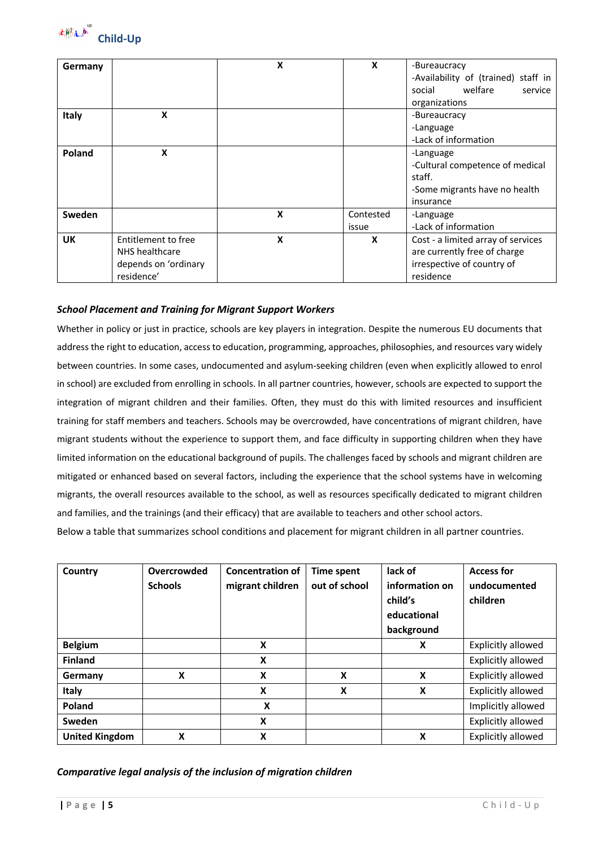

|                     | X                                       | X         | -Bureaucracy                                   |  |  |
|---------------------|-----------------------------------------|-----------|------------------------------------------------|--|--|
|                     |                                         |           | -Availability of (trained) staff in<br>welfare |  |  |
|                     |                                         |           | social<br>service<br>organizations             |  |  |
|                     |                                         |           |                                                |  |  |
|                     |                                         |           | -Bureaucracy                                   |  |  |
|                     |                                         |           | -Language                                      |  |  |
|                     |                                         |           | -Lack of information                           |  |  |
| X                   |                                         |           | -Language                                      |  |  |
|                     |                                         |           | -Cultural competence of medical                |  |  |
|                     |                                         |           | staff.                                         |  |  |
|                     |                                         |           | -Some migrants have no health                  |  |  |
|                     |                                         |           | insurance                                      |  |  |
|                     | X                                       | Contested | -Language                                      |  |  |
|                     |                                         | issue     | -Lack of information                           |  |  |
| Entitlement to free | X                                       | X         | Cost - a limited array of services             |  |  |
| NHS healthcare      |                                         |           | are currently free of charge                   |  |  |
|                     |                                         |           | irrespective of country of                     |  |  |
|                     |                                         |           | residence                                      |  |  |
|                     | Χ<br>depends on 'ordinary<br>residence' |           |                                                |  |  |

#### *School Placement and Training for Migrant Support Workers*

Whether in policy or just in practice, schools are key players in integration. Despite the numerous EU documents that address the right to education, access to education, programming, approaches, philosophies, and resources vary widely between countries. In some cases, undocumented and asylum-seeking children (even when explicitly allowed to enrol in school) are excluded from enrolling in schools. In all partner countries, however, schools are expected to support the integration of migrant children and their families. Often, they must do this with limited resources and insufficient training for staff members and teachers. Schools may be overcrowded, have concentrations of migrant children, have migrant students without the experience to support them, and face difficulty in supporting children when they have limited information on the educational background of pupils. The challenges faced by schools and migrant children are mitigated or enhanced based on several factors, including the experience that the school systems have in welcoming migrants, the overall resources available to the school, as well as resources specifically dedicated to migrant children and families, and the trainings (and their efficacy) that are available to teachers and other school actors.

Below a table that summarizes school conditions and placement for migrant children in all partner countries.

| Country               | Overcrowded<br><b>Schools</b> | <b>Concentration of</b><br>migrant children | <b>Time spent</b><br>out of school | lack of<br>information on<br>child's<br>educational<br>background | <b>Access for</b><br>undocumented<br>children |
|-----------------------|-------------------------------|---------------------------------------------|------------------------------------|-------------------------------------------------------------------|-----------------------------------------------|
| <b>Belgium</b>        |                               | X                                           |                                    | X                                                                 | <b>Explicitly allowed</b>                     |
| <b>Finland</b>        |                               | X                                           |                                    |                                                                   | <b>Explicitly allowed</b>                     |
| Germany               | X                             | $\boldsymbol{\mathsf{x}}$                   | X                                  | X                                                                 | Explicitly allowed                            |
| Italy                 |                               | $\boldsymbol{\mathsf{x}}$                   | X                                  | X                                                                 | <b>Explicitly allowed</b>                     |
| Poland                |                               | X                                           |                                    |                                                                   | Implicitly allowed                            |
| Sweden                |                               | $\boldsymbol{\mathsf{x}}$                   |                                    |                                                                   | <b>Explicitly allowed</b>                     |
| <b>United Kingdom</b> | X                             | $\boldsymbol{\mathsf{x}}$                   |                                    | X                                                                 | Explicitly allowed                            |

*Comparative legal analysis of the inclusion of migration children*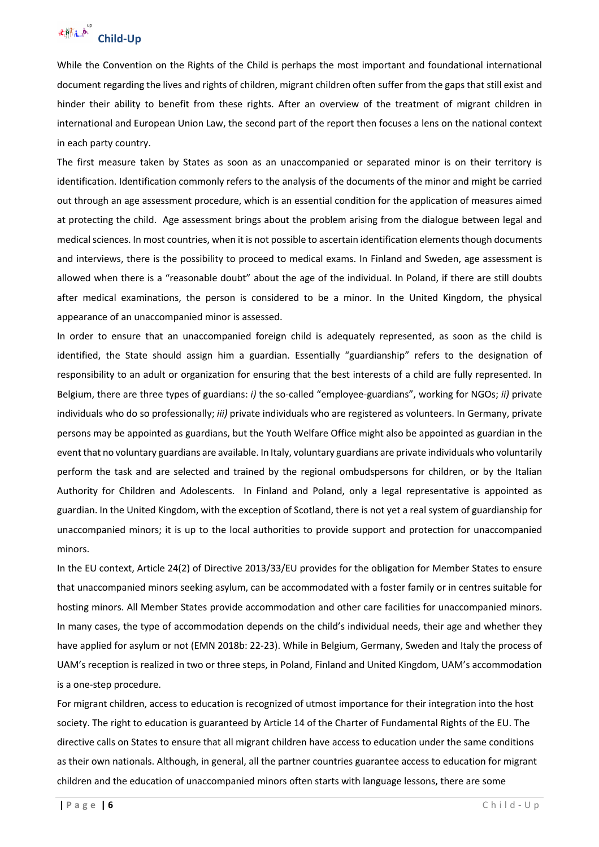

While the Convention on the Rights of the Child is perhaps the most important and foundational international document regarding the lives and rights of children, migrant children often suffer from the gaps that still exist and hinder their ability to benefit from these rights. After an overview of the treatment of migrant children in international and European Union Law, the second part of the report then focuses a lens on the national context in each party country.

The first measure taken by States as soon as an unaccompanied or separated minor is on their territory is identification. Identification commonly refers to the analysis of the documents of the minor and might be carried out through an age assessment procedure, which is an essential condition for the application of measures aimed at protecting the child. Age assessment brings about the problem arising from the dialogue between legal and medical sciences. In most countries, when it is not possible to ascertain identification elements though documents and interviews, there is the possibility to proceed to medical exams. In Finland and Sweden, age assessment is allowed when there is a "reasonable doubt" about the age of the individual. In Poland, if there are still doubts after medical examinations, the person is considered to be a minor. In the United Kingdom, the physical appearance of an unaccompanied minor is assessed.

In order to ensure that an unaccompanied foreign child is adequately represented, as soon as the child is identified, the State should assign him a guardian. Essentially "guardianship" refers to the designation of responsibility to an adult or organization for ensuring that the best interests of a child are fully represented. In Belgium, there are three types of guardians: *i)* the so-called "employee-guardians", working for NGOs; *ii)* private individuals who do so professionally; *iii)* private individuals who are registered as volunteers. In Germany, private persons may be appointed as guardians, but the Youth Welfare Office might also be appointed as guardian in the event that no voluntary guardians are available. In Italy, voluntary guardians are private individuals who voluntarily perform the task and are selected and trained by the regional ombudspersons for children, or by the Italian Authority for Children and Adolescents. In Finland and Poland, only a legal representative is appointed as guardian. In the United Kingdom, with the exception of Scotland, there is not yet a real system of guardianship for unaccompanied minors; it is up to the local authorities to provide support and protection for unaccompanied minors.

In the EU context, Article 24(2) of Directive 2013/33/EU provides for the obligation for Member States to ensure that unaccompanied minors seeking asylum, can be accommodated with a foster family or in centres suitable for hosting minors. All Member States provide accommodation and other care facilities for unaccompanied minors. In many cases, the type of accommodation depends on the child's individual needs, their age and whether they have applied for asylum or not (EMN 2018b: 22-23). While in Belgium, Germany, Sweden and Italy the process of UAM's reception is realized in two or three steps, in Poland, Finland and United Kingdom, UAM's accommodation is a one-step procedure.

For migrant children, access to education is recognized of utmost importance for their integration into the host society. The right to education is guaranteed by Article 14 of the Charter of Fundamental Rights of the EU. The directive calls on States to ensure that all migrant children have access to education under the same conditions as their own nationals. Although, in general, all the partner countries guarantee access to education for migrant children and the education of unaccompanied minors often starts with language lessons, there are some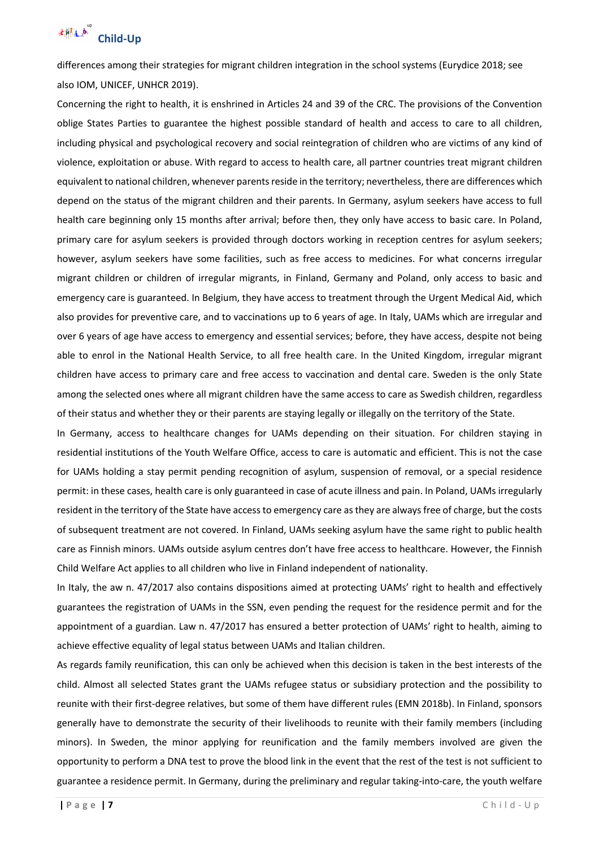

differences among their strategies for migrant children integration in the school systems (Eurydice 2018; see also IOM, UNICEF, UNHCR 2019).

Concerning the right to health, it is enshrined in Articles 24 and 39 of the CRC. The provisions of the Convention oblige States Parties to guarantee the highest possible standard of health and access to care to all children, including physical and psychological recovery and social reintegration of children who are victims of any kind of violence, exploitation or abuse. With regard to access to health care, all partner countries treat migrant children equivalent to national children, whenever parents reside in the territory; nevertheless, there are differences which depend on the status of the migrant children and their parents. In Germany, asylum seekers have access to full health care beginning only 15 months after arrival; before then, they only have access to basic care. In Poland, primary care for asylum seekers is provided through doctors working in reception centres for asylum seekers; however, asylum seekers have some facilities, such as free access to medicines. For what concerns irregular migrant children or children of irregular migrants, in Finland, Germany and Poland, only access to basic and emergency care is guaranteed. In Belgium, they have access to treatment through the Urgent Medical Aid, which also provides for preventive care, and to vaccinations up to 6 years of age. In Italy, UAMs which are irregular and over 6 years of age have access to emergency and essential services; before, they have access, despite not being able to enrol in the National Health Service, to all free health care. In the United Kingdom, irregular migrant children have access to primary care and free access to vaccination and dental care. Sweden is the only State among the selected ones where all migrant children have the same access to care as Swedish children, regardless of their status and whether they or their parents are staying legally or illegally on the territory of the State.

In Germany, access to healthcare changes for UAMs depending on their situation. For children staying in residential institutions of the Youth Welfare Office, access to care is automatic and efficient. This is not the case for UAMs holding a stay permit pending recognition of asylum, suspension of removal, or a special residence permit: in these cases, health care is only guaranteed in case of acute illness and pain. In Poland, UAMs irregularly resident in the territory of the State have access to emergency care as they are always free of charge, but the costs of subsequent treatment are not covered. In Finland, UAMs seeking asylum have the same right to public health care as Finnish minors. UAMs outside asylum centres don't have free access to healthcare. However, the Finnish Child Welfare Act applies to all children who live in Finland independent of nationality.

In Italy, the aw n. 47/2017 also contains dispositions aimed at protecting UAMs' right to health and effectively guarantees the registration of UAMs in the SSN, even pending the request for the residence permit and for the appointment of a guardian. Law n. 47/2017 has ensured a better protection of UAMs' right to health, aiming to achieve effective equality of legal status between UAMs and Italian children.

As regards family reunification, this can only be achieved when this decision is taken in the best interests of the child. Almost all selected States grant the UAMs refugee status or subsidiary protection and the possibility to reunite with their first-degree relatives, but some of them have different rules (EMN 2018b). In Finland, sponsors generally have to demonstrate the security of their livelihoods to reunite with their family members (including minors). In Sweden, the minor applying for reunification and the family members involved are given the opportunity to perform a DNA test to prove the blood link in the event that the rest of the test is not sufficient to guarantee a residence permit. In Germany, during the preliminary and regular taking-into-care, the youth welfare